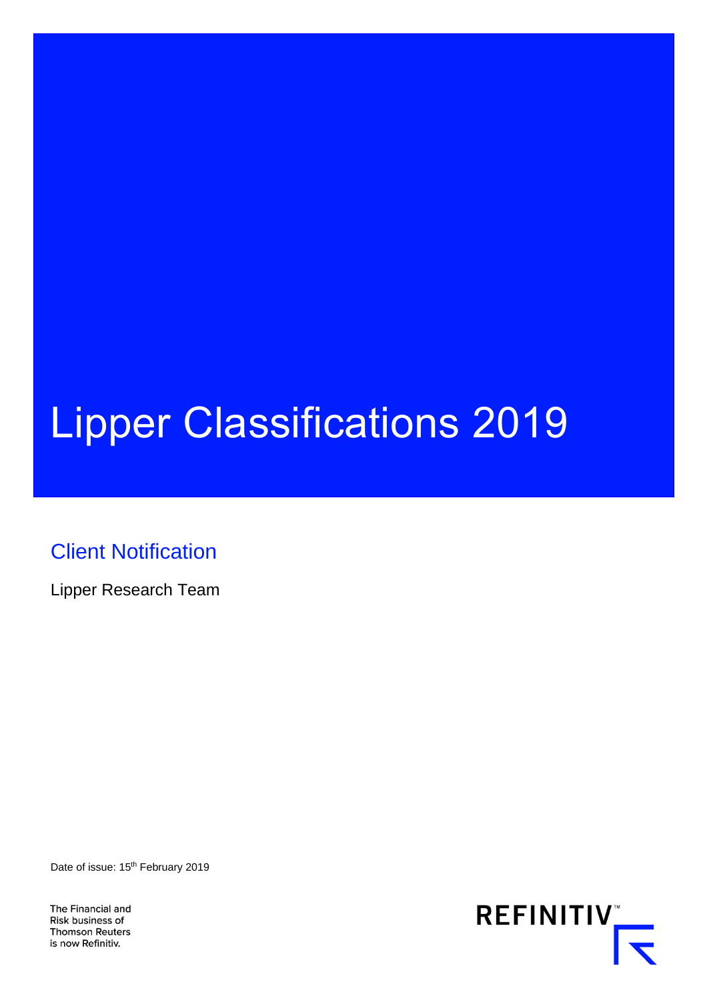# Lipper Classifications 2019

# Client Notification

Lipper Research Team

Date of issue: 15<sup>th</sup> February 2019

The Financial and Risk business of **Thomson Reuters** is now Refinitiv.

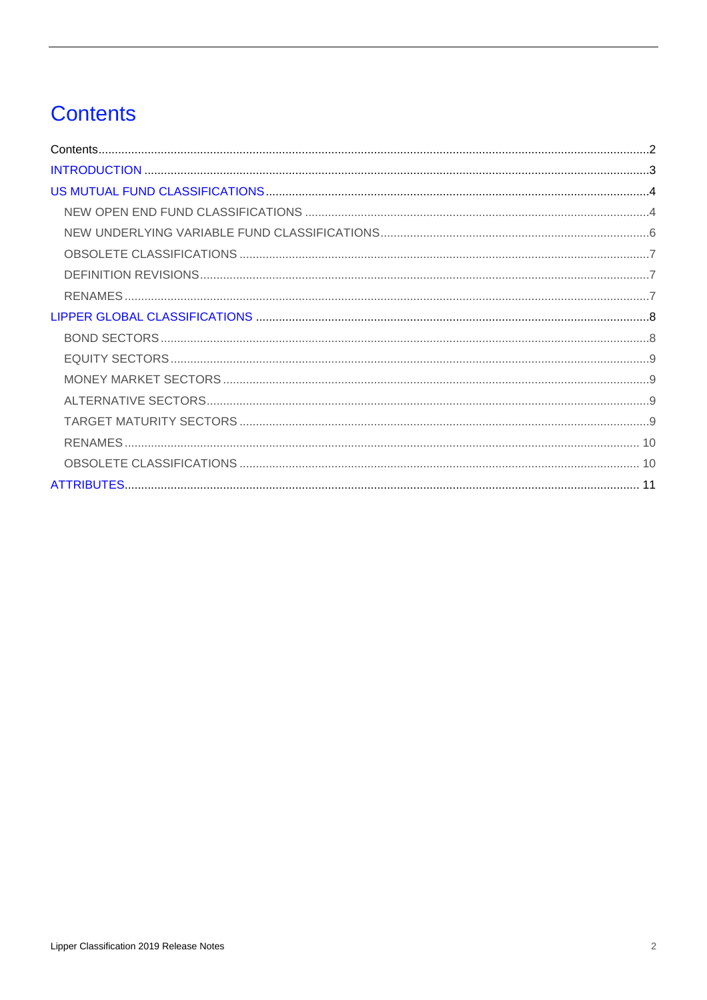# **Contents**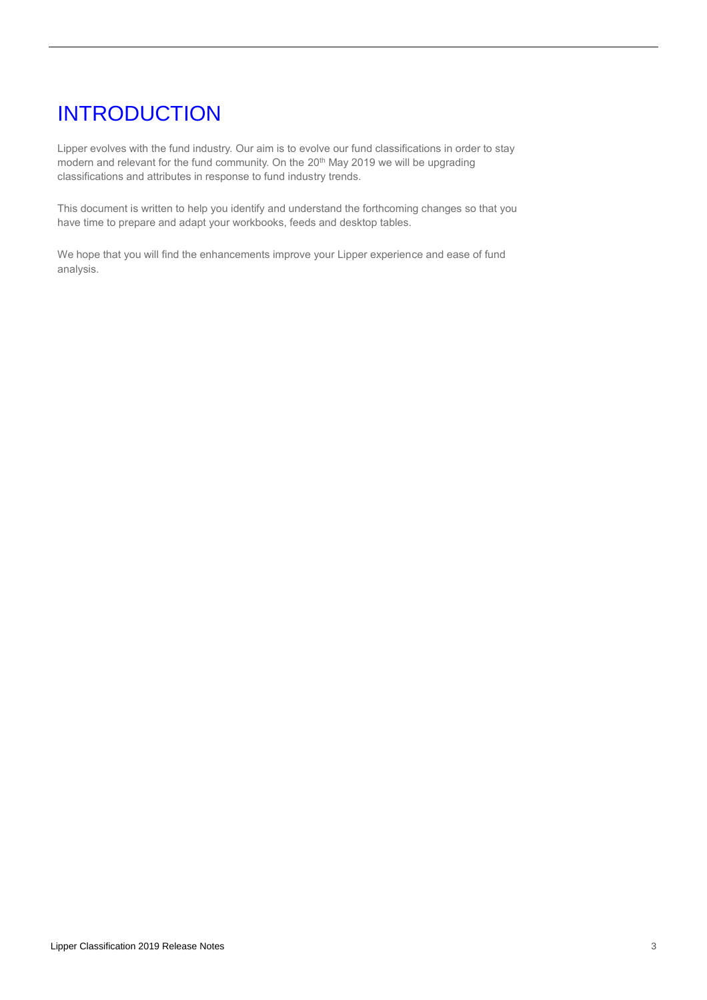# **INTRODUCTION**

Lipper evolves with the fund industry. Our aim is to evolve our fund classifications in order to stay modern and relevant for the fund community. On the 20<sup>th</sup> May 2019 we will be upgrading classifications and attributes in response to fund industry trends.

This document is written to help you identify and understand the forthcoming changes so that you have time to prepare and adapt your workbooks, feeds and desktop tables.

We hope that you will find the enhancements improve your Lipper experience and ease of fund analysis.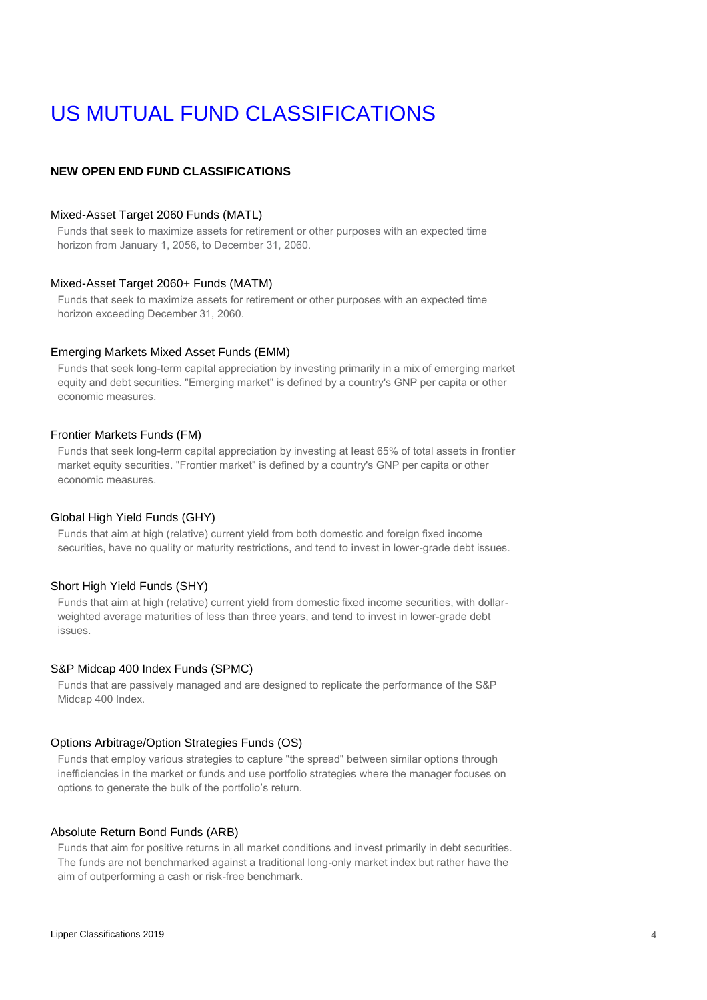# US MUTUAL FUND CLASSIFICATIONS

# **NEW OPEN END FUND CLASSIFICATIONS**

# Mixed-Asset Target 2060 Funds (MATL)

Funds that seek to maximize assets for retirement or other purposes with an expected time horizon from January 1, 2056, to December 31, 2060.

#### Mixed-Asset Target 2060+ Funds (MATM)

Funds that seek to maximize assets for retirement or other purposes with an expected time horizon exceeding December 31, 2060.

#### Emerging Markets Mixed Asset Funds (EMM)

Funds that seek long-term capital appreciation by investing primarily in a mix of emerging market equity and debt securities. "Emerging market" is defined by a country's GNP per capita or other economic measures.

#### Frontier Markets Funds (FM)

Funds that seek long-term capital appreciation by investing at least 65% of total assets in frontier market equity securities. "Frontier market" is defined by a country's GNP per capita or other economic measures.

#### Global High Yield Funds (GHY)

Funds that aim at high (relative) current yield from both domestic and foreign fixed income securities, have no quality or maturity restrictions, and tend to invest in lower-grade debt issues.

#### Short High Yield Funds (SHY)

Funds that aim at high (relative) current yield from domestic fixed income securities, with dollarweighted average maturities of less than three years, and tend to invest in lower-grade debt issues.

#### S&P Midcap 400 Index Funds (SPMC)

Funds that are passively managed and are designed to replicate the performance of the S&P Midcap 400 Index.

#### Options Arbitrage/Option Strategies Funds (OS)

Funds that employ various strategies to capture "the spread" between similar options through inefficiencies in the market or funds and use portfolio strategies where the manager focuses on options to generate the bulk of the portfolio's return.

#### Absolute Return Bond Funds (ARB)

Funds that aim for positive returns in all market conditions and invest primarily in debt securities. The funds are not benchmarked against a traditional long-only market index but rather have the aim of outperforming a cash or risk-free benchmark.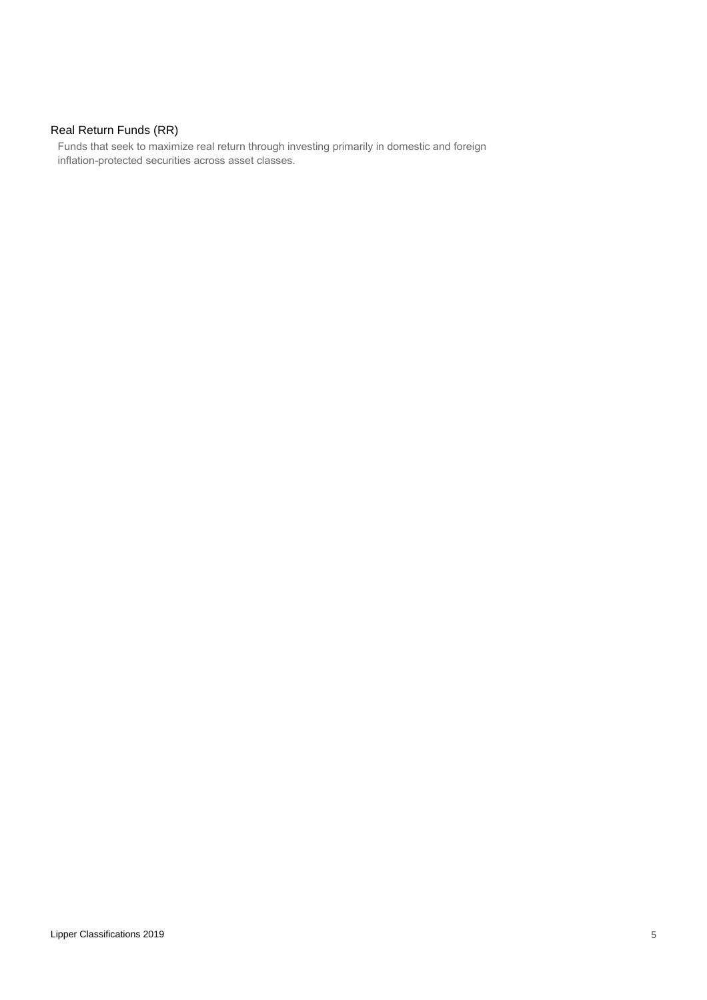# Real Return Funds (RR)

Funds that seek to maximize real return through investing primarily in domestic and foreign inflation-protected securities across asset classes.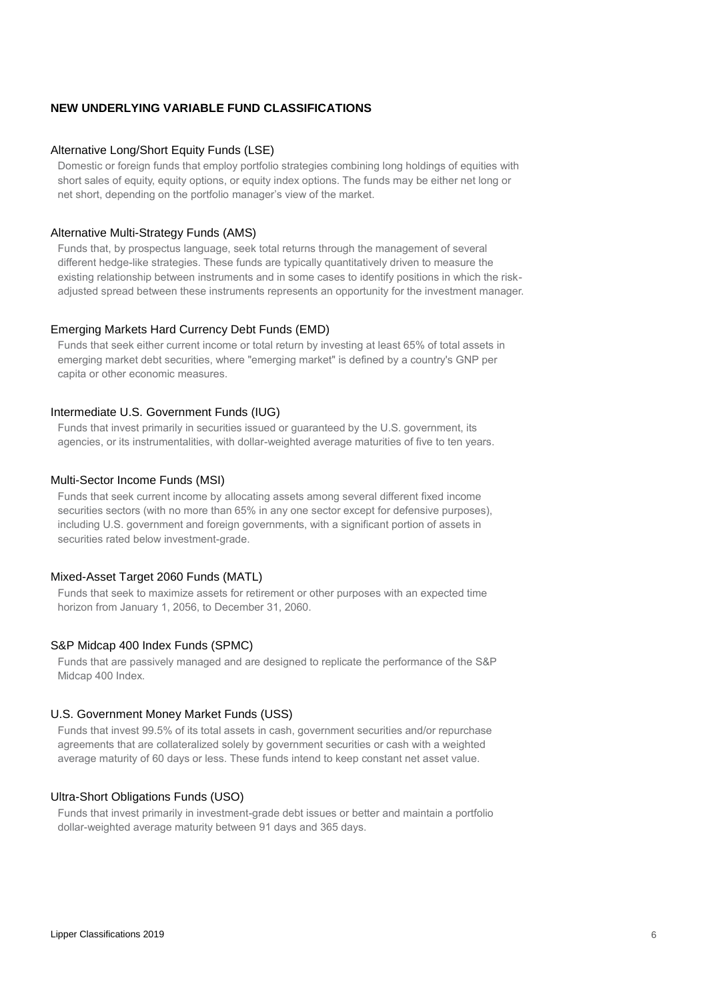# **NEW UNDERLYING VARIABLE FUND CLASSIFICATIONS**

#### Alternative Long/Short Equity Funds (LSE)

Domestic or foreign funds that employ portfolio strategies combining long holdings of equities with short sales of equity, equity options, or equity index options. The funds may be either net long or net short, depending on the portfolio manager's view of the market.

#### Alternative Multi-Strategy Funds (AMS)

Funds that, by prospectus language, seek total returns through the management of several different hedge-like strategies. These funds are typically quantitatively driven to measure the existing relationship between instruments and in some cases to identify positions in which the riskadjusted spread between these instruments represents an opportunity for the investment manager.

#### Emerging Markets Hard Currency Debt Funds (EMD)

Funds that seek either current income or total return by investing at least 65% of total assets in emerging market debt securities, where "emerging market" is defined by a country's GNP per capita or other economic measures.

## Intermediate U.S. Government Funds (IUG)

Funds that invest primarily in securities issued or guaranteed by the U.S. government, its agencies, or its instrumentalities, with dollar-weighted average maturities of five to ten years.

#### Multi-Sector Income Funds (MSI)

Funds that seek current income by allocating assets among several different fixed income securities sectors (with no more than 65% in any one sector except for defensive purposes), including U.S. government and foreign governments, with a significant portion of assets in securities rated below investment-grade.

#### Mixed-Asset Target 2060 Funds (MATL)

Funds that seek to maximize assets for retirement or other purposes with an expected time horizon from January 1, 2056, to December 31, 2060.

#### S&P Midcap 400 Index Funds (SPMC)

Funds that are passively managed and are designed to replicate the performance of the S&P Midcap 400 Index.

#### U.S. Government Money Market Funds (USS)

Funds that invest 99.5% of its total assets in cash, government securities and/or repurchase agreements that are collateralized solely by government securities or cash with a weighted average maturity of 60 days or less. These funds intend to keep constant net asset value.

#### Ultra-Short Obligations Funds (USO)

Funds that invest primarily in investment-grade debt issues or better and maintain a portfolio dollar-weighted average maturity between 91 days and 365 days.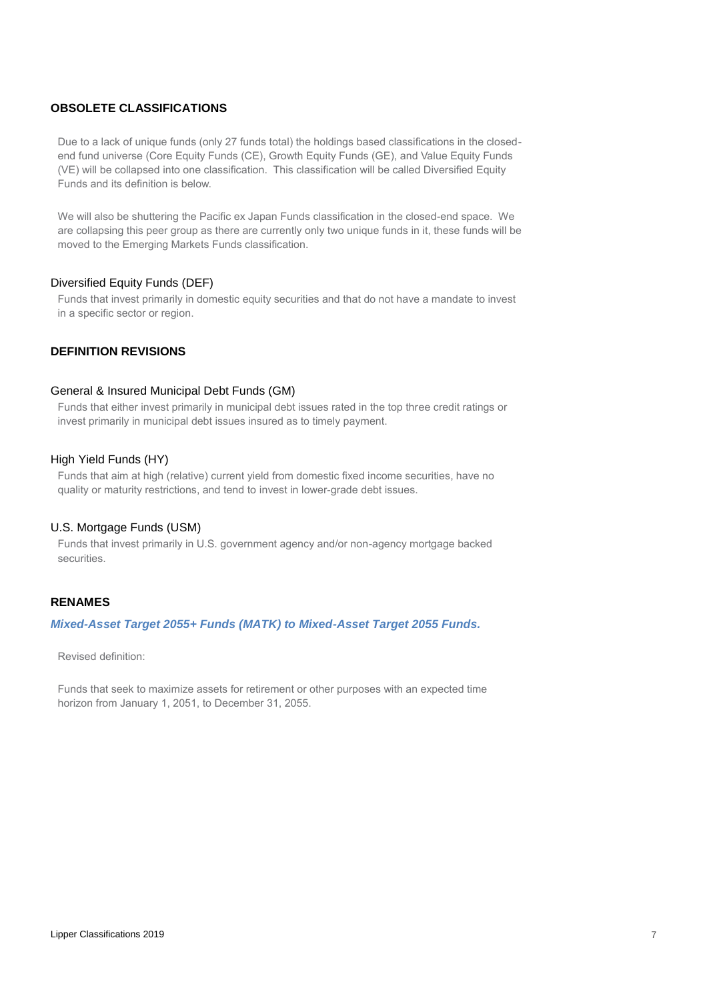# **OBSOLETE CLASSIFICATIONS**

Due to a lack of unique funds (only 27 funds total) the holdings based classifications in the closedend fund universe (Core Equity Funds (CE), Growth Equity Funds (GE), and Value Equity Funds (VE) will be collapsed into one classification. This classification will be called Diversified Equity Funds and its definition is below.

We will also be shuttering the Pacific ex Japan Funds classification in the closed-end space. We are collapsing this peer group as there are currently only two unique funds in it, these funds will be moved to the Emerging Markets Funds classification.

#### Diversified Equity Funds (DEF)

Funds that invest primarily in domestic equity securities and that do not have a mandate to invest in a specific sector or region.

# **DEFINITION REVISIONS**

#### General & Insured Municipal Debt Funds (GM)

Funds that either invest primarily in municipal debt issues rated in the top three credit ratings or invest primarily in municipal debt issues insured as to timely payment.

#### High Yield Funds (HY)

Funds that aim at high (relative) current yield from domestic fixed income securities, have no quality or maturity restrictions, and tend to invest in lower-grade debt issues.

## U.S. Mortgage Funds (USM)

Funds that invest primarily in U.S. government agency and/or non-agency mortgage backed securities.

# **RENAMES**

#### *Mixed-Asset Target 2055+ Funds (MATK) to Mixed-Asset Target 2055 Funds.*

Revised definition:

Funds that seek to maximize assets for retirement or other purposes with an expected time horizon from January 1, 2051, to December 31, 2055.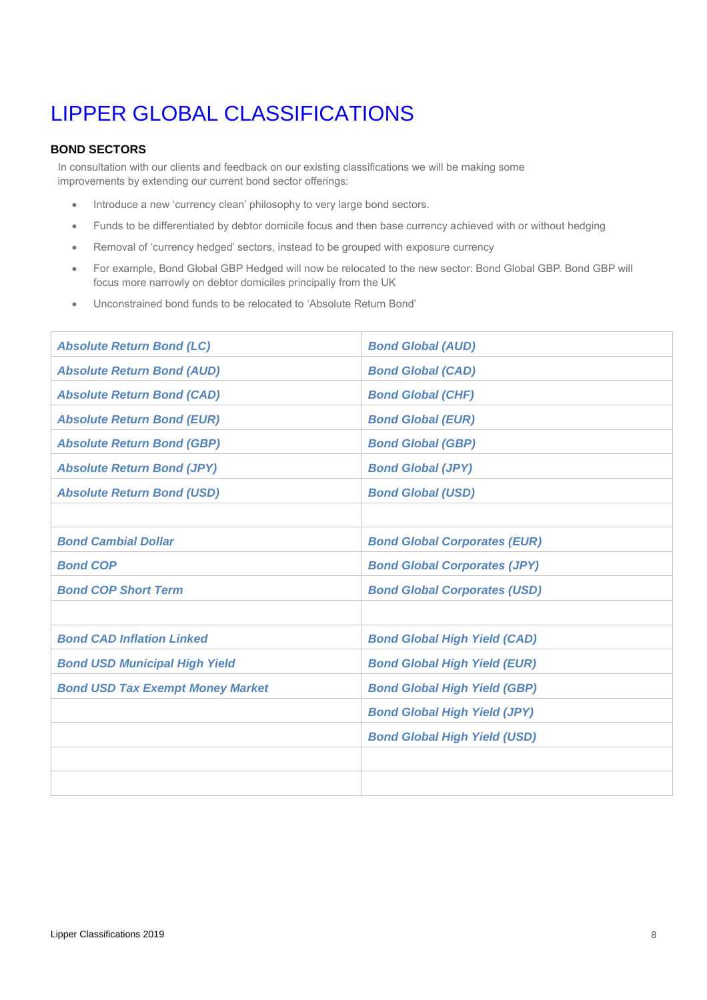# LIPPER GLOBAL CLASSIFICATIONS

# **BOND SECTORS**

In consultation with our clients and feedback on our existing classifications we will be making some improvements by extending our current bond sector offerings:

- Introduce a new 'currency clean' philosophy to very large bond sectors.
- Funds to be differentiated by debtor domicile focus and then base currency achieved with or without hedging
- Removal of 'currency hedged' sectors, instead to be grouped with exposure currency
- For example, Bond Global GBP Hedged will now be relocated to the new sector: Bond Global GBP. Bond GBP will focus more narrowly on debtor domiciles principally from the UK
- Unconstrained bond funds to be relocated to 'Absolute Return Bond'

| <b>Absolute Return Bond (LC)</b>        | <b>Bond Global (AUD)</b>            |
|-----------------------------------------|-------------------------------------|
| <b>Absolute Return Bond (AUD)</b>       | <b>Bond Global (CAD)</b>            |
| <b>Absolute Return Bond (CAD)</b>       | <b>Bond Global (CHF)</b>            |
| <b>Absolute Return Bond (EUR)</b>       | <b>Bond Global (EUR)</b>            |
| <b>Absolute Return Bond (GBP)</b>       | <b>Bond Global (GBP)</b>            |
| <b>Absolute Return Bond (JPY)</b>       | <b>Bond Global (JPY)</b>            |
| <b>Absolute Return Bond (USD)</b>       | <b>Bond Global (USD)</b>            |
|                                         |                                     |
| <b>Bond Cambial Dollar</b>              | <b>Bond Global Corporates (EUR)</b> |
| <b>Bond COP</b>                         | <b>Bond Global Corporates (JPY)</b> |
| <b>Bond COP Short Term</b>              | <b>Bond Global Corporates (USD)</b> |
|                                         |                                     |
| <b>Bond CAD Inflation Linked</b>        | <b>Bond Global High Yield (CAD)</b> |
| <b>Bond USD Municipal High Yield</b>    | <b>Bond Global High Yield (EUR)</b> |
| <b>Bond USD Tax Exempt Money Market</b> | <b>Bond Global High Yield (GBP)</b> |
|                                         | <b>Bond Global High Yield (JPY)</b> |
|                                         | <b>Bond Global High Yield (USD)</b> |
|                                         |                                     |
|                                         |                                     |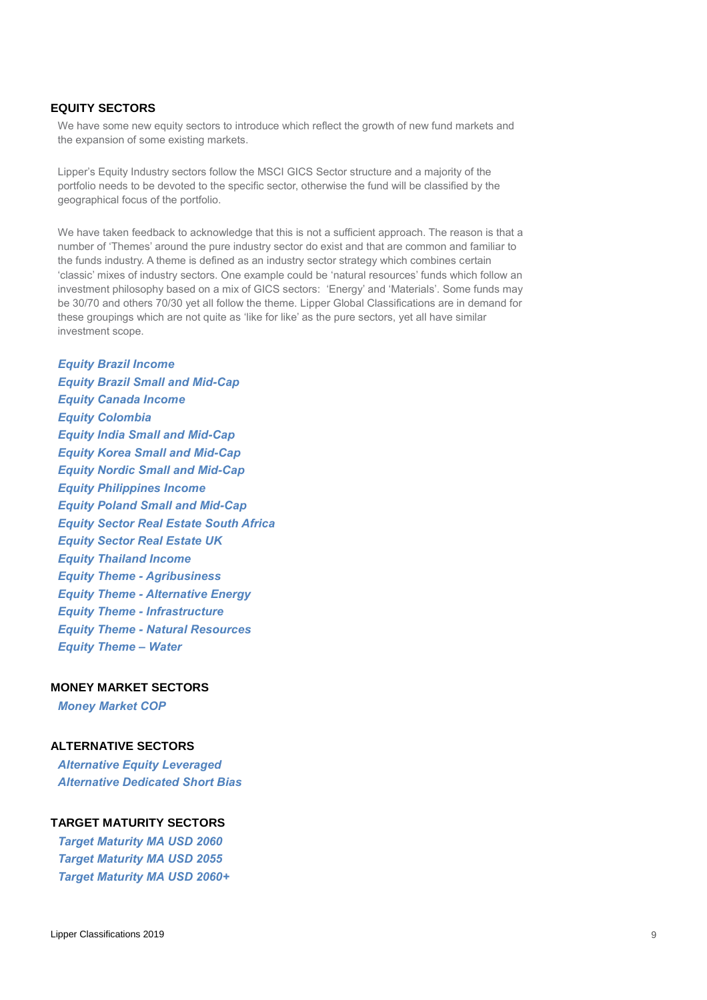### **EQUITY SECTORS**

We have some new equity sectors to introduce which reflect the growth of new fund markets and the expansion of some existing markets.

Lipper's Equity Industry sectors follow the MSCI GICS Sector structure and a majority of the portfolio needs to be devoted to the specific sector, otherwise the fund will be classified by the geographical focus of the portfolio.

We have taken feedback to acknowledge that this is not a sufficient approach. The reason is that a number of 'Themes' around the pure industry sector do exist and that are common and familiar to the funds industry. A theme is defined as an industry sector strategy which combines certain 'classic' mixes of industry sectors. One example could be 'natural resources' funds which follow an investment philosophy based on a mix of GICS sectors: 'Energy' and 'Materials'. Some funds may be 30/70 and others 70/30 yet all follow the theme. Lipper Global Classifications are in demand for these groupings which are not quite as 'like for like' as the pure sectors, yet all have similar investment scope.

*Equity Brazil Income Equity Brazil Small and Mid-Cap Equity Canada Income Equity Colombia Equity India Small and Mid-Cap Equity Korea Small and Mid-Cap Equity Nordic Small and Mid-Cap Equity Philippines Income Equity Poland Small and Mid-Cap Equity Sector Real Estate South Africa Equity Sector Real Estate UK Equity Thailand Income Equity Theme - Agribusiness Equity Theme - Alternative Energy Equity Theme - Infrastructure Equity Theme - Natural Resources Equity Theme – Water*

### **MONEY MARKET SECTORS**

*Money Market COP*

# **ALTERNATIVE SECTORS**

*Alternative Equity Leveraged Alternative Dedicated Short Bias*

# **TARGET MATURITY SECTORS**

*Target Maturity MA USD 2060 Target Maturity MA USD 2055 Target Maturity MA USD 2060+*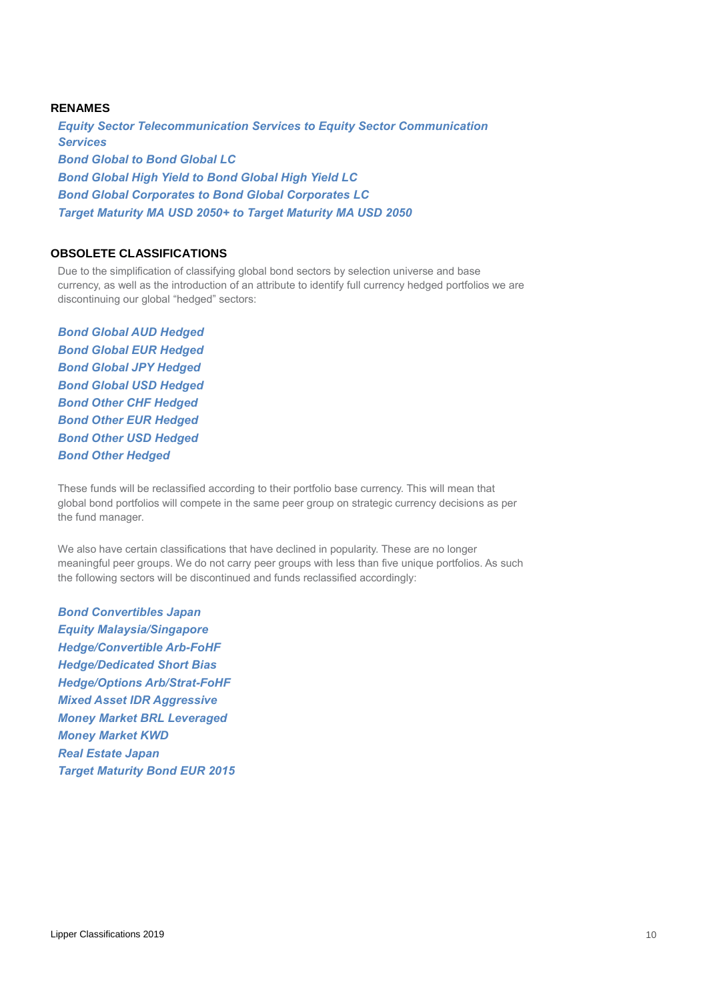### **RENAMES**

*Equity Sector Telecommunication Services to Equity Sector Communication Services Bond Global to Bond Global LC Bond Global High Yield to Bond Global High Yield LC Bond Global Corporates to Bond Global Corporates LC Target Maturity MA USD 2050+ to Target Maturity MA USD 2050*

# **OBSOLETE CLASSIFICATIONS**

Due to the simplification of classifying global bond sectors by selection universe and base currency, as well as the introduction of an attribute to identify full currency hedged portfolios we are discontinuing our global "hedged" sectors:

*Bond Global AUD Hedged Bond Global EUR Hedged Bond Global JPY Hedged Bond Global USD Hedged Bond Other CHF Hedged Bond Other EUR Hedged Bond Other USD Hedged Bond Other Hedged*

These funds will be reclassified according to their portfolio base currency. This will mean that global bond portfolios will compete in the same peer group on strategic currency decisions as per the fund manager.

We also have certain classifications that have declined in popularity. These are no longer meaningful peer groups. We do not carry peer groups with less than five unique portfolios. As such the following sectors will be discontinued and funds reclassified accordingly:

*Bond Convertibles Japan Equity Malaysia/Singapore Hedge/Convertible Arb-FoHF Hedge/Dedicated Short Bias Hedge/Options Arb/Strat-FoHF Mixed Asset IDR Aggressive Money Market BRL Leveraged Money Market KWD Real Estate Japan Target Maturity Bond EUR 2015*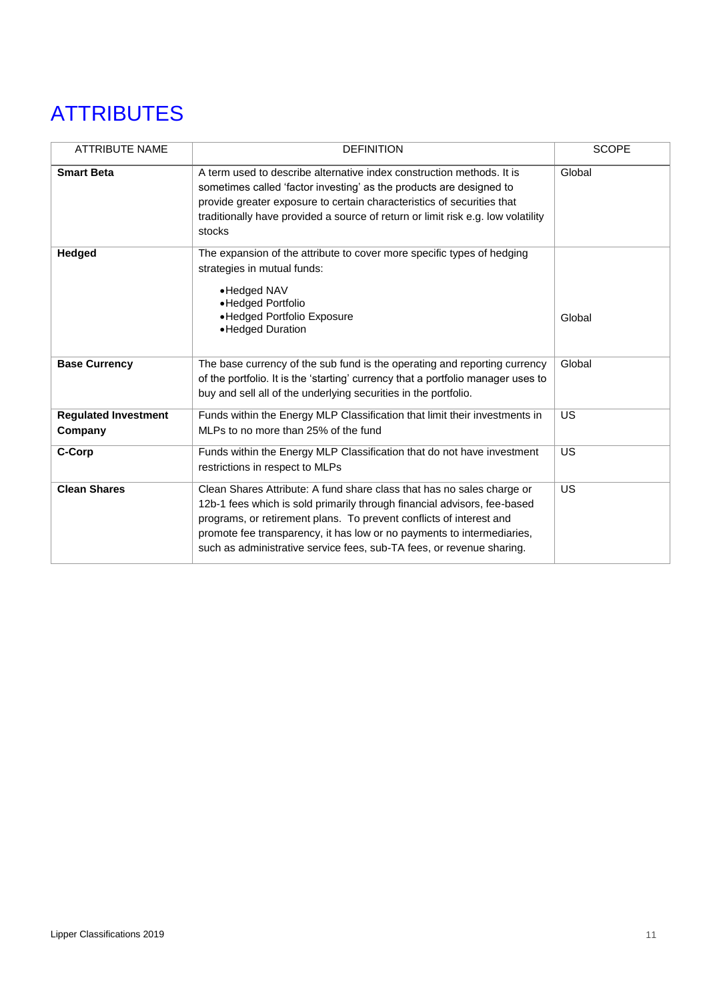# **ATTRIBUTES**

| <b>ATTRIBUTE NAME</b>                  | <b>DEFINITION</b>                                                                                                                                                                                                                                                                                                                                                            | <b>SCOPE</b> |
|----------------------------------------|------------------------------------------------------------------------------------------------------------------------------------------------------------------------------------------------------------------------------------------------------------------------------------------------------------------------------------------------------------------------------|--------------|
| <b>Smart Beta</b>                      | A term used to describe alternative index construction methods. It is<br>sometimes called 'factor investing' as the products are designed to<br>provide greater exposure to certain characteristics of securities that<br>traditionally have provided a source of return or limit risk e.g. low volatility<br>stocks                                                         | Global       |
| Hedged                                 | The expansion of the attribute to cover more specific types of hedging<br>strategies in mutual funds:<br>•Hedged NAV<br>•Hedged Portfolio<br>·Hedged Portfolio Exposure<br>• Hedged Duration                                                                                                                                                                                 | Global       |
| <b>Base Currency</b>                   | The base currency of the sub fund is the operating and reporting currency<br>of the portfolio. It is the 'starting' currency that a portfolio manager uses to<br>buy and sell all of the underlying securities in the portfolio.                                                                                                                                             | Global       |
| <b>Regulated Investment</b><br>Company | Funds within the Energy MLP Classification that limit their investments in<br>MLPs to no more than 25% of the fund                                                                                                                                                                                                                                                           | US           |
| C-Corp                                 | Funds within the Energy MLP Classification that do not have investment<br>restrictions in respect to MLPs                                                                                                                                                                                                                                                                    | US           |
| <b>Clean Shares</b>                    | Clean Shares Attribute: A fund share class that has no sales charge or<br>12b-1 fees which is sold primarily through financial advisors, fee-based<br>programs, or retirement plans. To prevent conflicts of interest and<br>promote fee transparency, it has low or no payments to intermediaries,<br>such as administrative service fees, sub-TA fees, or revenue sharing. | US           |